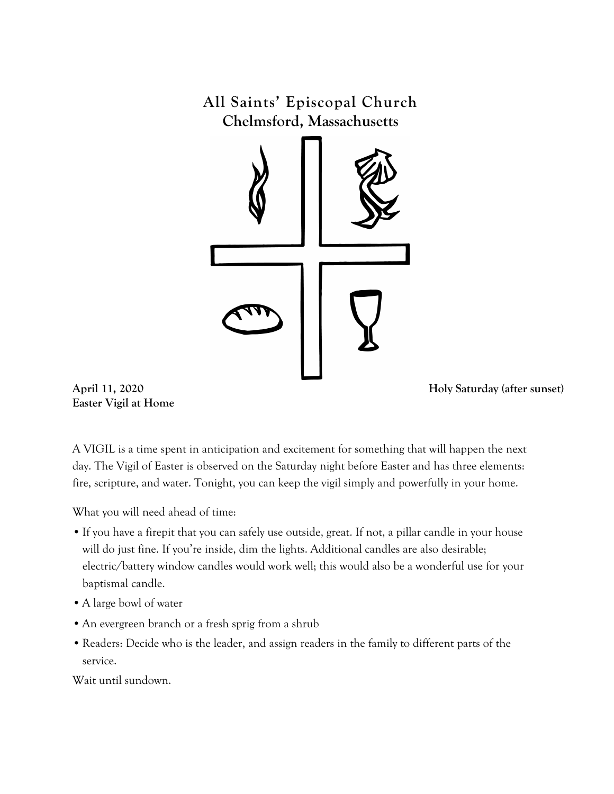**All Saints' Episcopal Church Chelmsford, Massachusetts**



**Easter Vigil at Home** 

**April 11, 2020 Holy Saturday (after sunset)**

A VIGIL is a time spent in anticipation and excitement for something that will happen the next day. The Vigil of Easter is observed on the Saturday night before Easter and has three elements: fire, scripture, and water. Tonight, you can keep the vigil simply and powerfully in your home.

What you will need ahead of time:

- •If you have a firepit that you can safely use outside, great. If not, a pillar candle in your house will do just fine. If you're inside, dim the lights. Additional candles are also desirable; electric/battery window candles would work well; this would also be a wonderful use for your baptismal candle.
- •A large bowl of water
- •An evergreen branch or a fresh sprig from a shrub
- •Readers: Decide who is the leader, and assign readers in the family to different parts of the service.

Wait until sundown.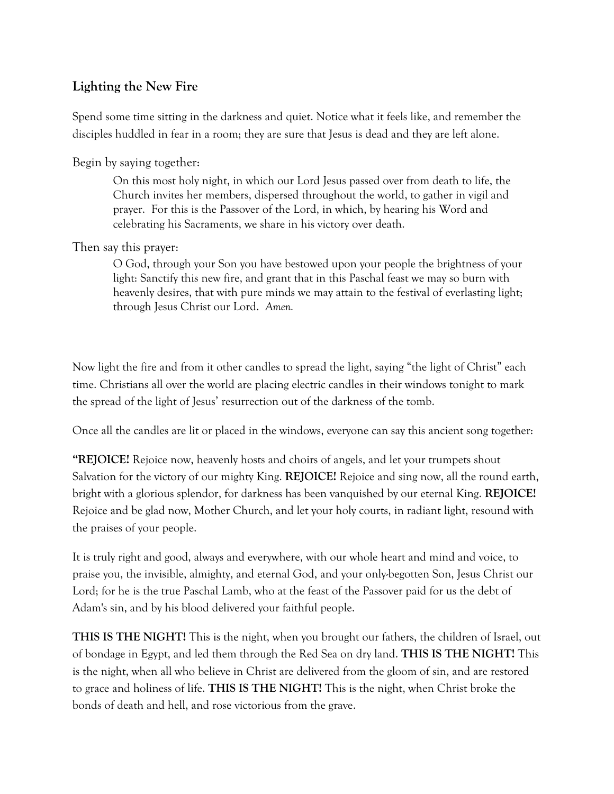## **Lighting the New Fire**

Spend some time sitting in the darkness and quiet. Notice what it feels like, and remember the disciples huddled in fear in a room; they are sure that Jesus is dead and they are left alone.

Begin by saying together:

On this most holy night, in which our Lord Jesus passed over from death to life, the Church invites her members, dispersed throughout the world, to gather in vigil and prayer. For this is the Passover of the Lord, in which, by hearing his Word and celebrating his Sacraments, we share in his victory over death.

#### Then say this prayer:

O God, through your Son you have bestowed upon your people the brightness of your light: Sanctify this new fire, and grant that in this Paschal feast we may so burn with heavenly desires, that with pure minds we may attain to the festival of everlasting light; through Jesus Christ our Lord. *Amen.*

Now light the fire and from it other candles to spread the light, saying "the light of Christ" each time. Christians all over the world are placing electric candles in their windows tonight to mark the spread of the light of Jesus' resurrection out of the darkness of the tomb.

Once all the candles are lit or placed in the windows, everyone can say this ancient song together:

**"REJOICE!** Rejoice now, heavenly hosts and choirs of angels, and let your trumpets shout Salvation for the victory of our mighty King. **REJOICE!** Rejoice and sing now, all the round earth, bright with a glorious splendor, for darkness has been vanquished by our eternal King. **REJOICE!**  Rejoice and be glad now, Mother Church, and let your holy courts, in radiant light, resound with the praises of your people.

It is truly right and good, always and everywhere, with our whole heart and mind and voice, to praise you, the invisible, almighty, and eternal God, and your only-begotten Son, Jesus Christ our Lord; for he is the true Paschal Lamb, who at the feast of the Passover paid for us the debt of Adam's sin, and by his blood delivered your faithful people.

**THIS IS THE NIGHT!** This is the night, when you brought our fathers, the children of Israel, out of bondage in Egypt, and led them through the Red Sea on dry land. **THIS IS THE NIGHT!** This is the night, when all who believe in Christ are delivered from the gloom of sin, and are restored to grace and holiness of life. **THIS IS THE NIGHT!** This is the night, when Christ broke the bonds of death and hell, and rose victorious from the grave.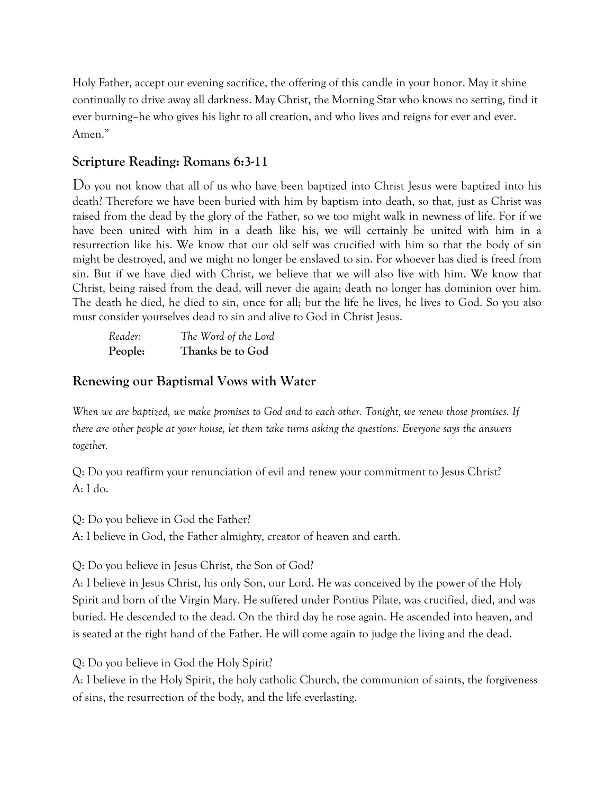Holy Father, accept our evening sacrifice, the offering of this candle in your honor. May it shine continually to drive away all darkness. May Christ, the Morning Star who knows no setting, find it ever burning–he who gives his light to all creation, and who lives and reigns for ever and ever. Amen."

### **Scripture Reading: Romans 6:3-11**

Do you not know that all of us who have been baptized into Christ Jesus were baptized into his death? Therefore we have been buried with him by baptism into death, so that, just as Christ was raised from the dead by the glory of the Father, so we too might walk in newness of life. For if we have been united with him in a death like his, we will certainly be united with him in a resurrection like his. We know that our old self was crucified with him so that the body of sin might be destroyed, and we might no longer be enslaved to sin. For whoever has died is freed from sin. But if we have died with Christ, we believe that we will also live with him. We know that Christ, being raised from the dead, will never die again; death no longer has dominion over him. The death he died, he died to sin, once for all; but the life he lives, he lives to God. So you also must consider yourselves dead to sin and alive to God in Christ Jesus.

*Reader: The Word of the Lord* **People: Thanks be to God**

#### **Renewing our Baptismal Vows with Water**

*When we are baptized, we make promises to God and to each other. Tonight, we renew those promises. If there are other people at your house, let them take turns asking the questions. Everyone says the answers together.* 

Q: Do you reaffirm your renunciation of evil and renew your commitment to Jesus Christ? A: I do.

Q: Do you believe in God the Father?

A: I believe in God, the Father almighty, creator of heaven and earth.

Q: Do you believe in Jesus Christ, the Son of God?

A: I believe in Jesus Christ, his only Son, our Lord. He was conceived by the power of the Holy Spirit and born of the Virgin Mary. He suffered under Pontius Pilate, was crucified, died, and was buried. He descended to the dead. On the third day he rose again. He ascended into heaven, and is seated at the right hand of the Father. He will come again to judge the living and the dead.

Q: Do you believe in God the Holy Spirit?

A: I believe in the Holy Spirit, the holy catholic Church, the communion of saints, the forgiveness of sins, the resurrection of the body, and the life everlasting.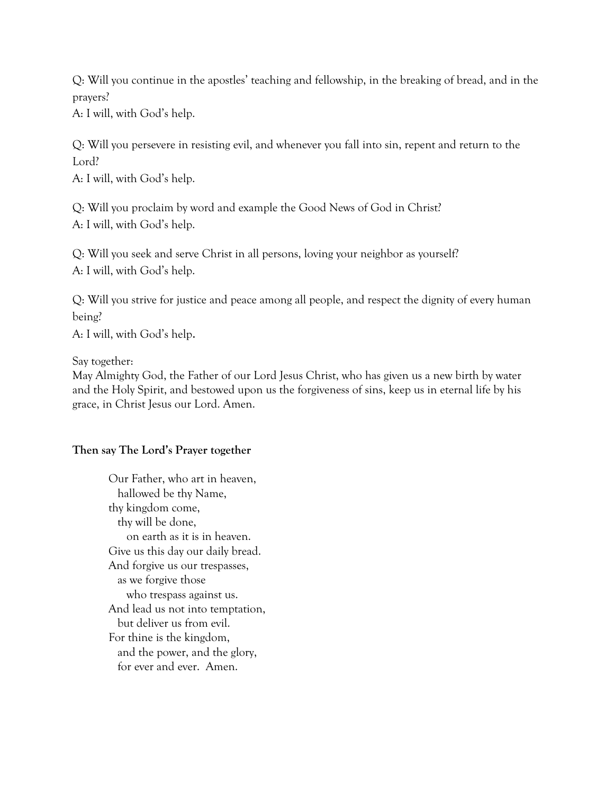Q: Will you continue in the apostles' teaching and fellowship, in the breaking of bread, and in the prayers?

A: I will, with God's help.

Q: Will you persevere in resisting evil, and whenever you fall into sin, repent and return to the Lord?

A: I will, with God's help.

Q: Will you proclaim by word and example the Good News of God in Christ? A: I will, with God's help.

Q: Will you seek and serve Christ in all persons, loving your neighbor as yourself? A: I will, with God's help.

Q: Will you strive for justice and peace among all people, and respect the dignity of every human being?

A: I will, with God's help.

Say together:

May Almighty God, the Father of our Lord Jesus Christ, who has given us a new birth by water and the Holy Spirit, and bestowed upon us the forgiveness of sins, keep us in eternal life by his grace, in Christ Jesus our Lord. Amen.

#### **Then say The Lord's Prayer together**

Our Father, who art in heaven, hallowed be thy Name, thy kingdom come, thy will be done, on earth as it is in heaven. Give us this day our daily bread. And forgive us our trespasses, as we forgive those who trespass against us. And lead us not into temptation, but deliver us from evil. For thine is the kingdom, and the power, and the glory, for ever and ever. Amen.